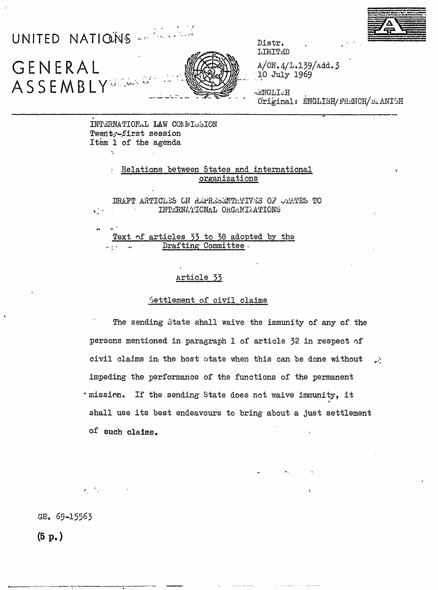

GENERAL ASSEMBLY

UNITED NATIONS



Distr. LIMITED

 $A/CN.4/L.139/Add.3$ 10 July 1969

HoLLOWER Original: ENGLISH/FRENCH/SIANISH

INTERNATIONAL LAW COMMISSION Twenty-first session Item 1 of the agenda

# Relations between States and international organizations

DRAFT ARTICLES ON REPRESENTATIVES OF CAATES TO  $\mathcal{H}_\alpha^{(k)}$ INTERNATIONAL ORGANIZATIONS

Text of articles 33 to 38 adopted by the Drafting Committee.

# Article 33

#### Settlement of civil claims

The sending State shall waive the immunity of any of the persons mentioned in paragraph 1 of article 32 in respect of civil claims in the host state when this can be done without  $\mathbf{e}$ impeding the performance of the functions of the permanent " mission. If the sending State does not waive immunity, it shall use its best endeavours to bring about a just settlement of such claims.

GE. 69-15563

 $(5 p.)$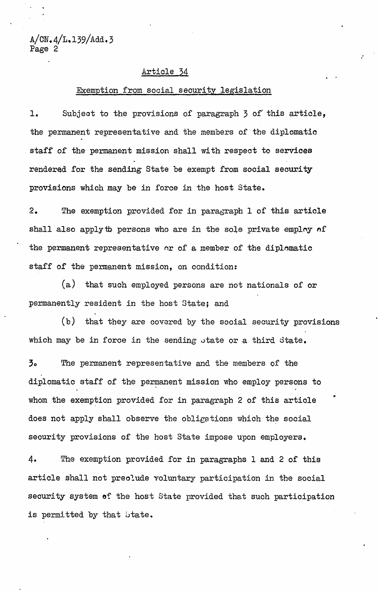A/CN.4/L.139/Add.3 Page 2

#### Article 34

# Exemption from social security legislation

:

..

1. Subjeot to the provisions of paragraph 3 of' this article, the permanent representative and the members of the diplomatio staff of the permanent mission shall with respeot to services rendered for the sending State be exempt from social seourity provisions which may be in force in the host State.

2. The exemption provided for in paragraph 1 of this article shall also apply to persons who are in the sole private employ of the permanent representative or of a member of the diplomatic staff of the permanent mission, on condition:

(a) that such employed persons are not nationals of or permanently resident in the host State; and

 $(b)$  that they are covered by the social security provisions which may be in force in the sending state or a third state.

30 The permanent representative and the members of the diplomatic staff of the permanent mission who employ persons to whom the exemption provided for in paragraph 2 of this article does not apply shall observe the obligations which the social security provisions of the host State impose upon employers.

4. The exemption provided for in paragraphs 1 and 2 of this article shall not preolude voluntary participation in the social security system of the host State provided that such participation is permitted by that btate.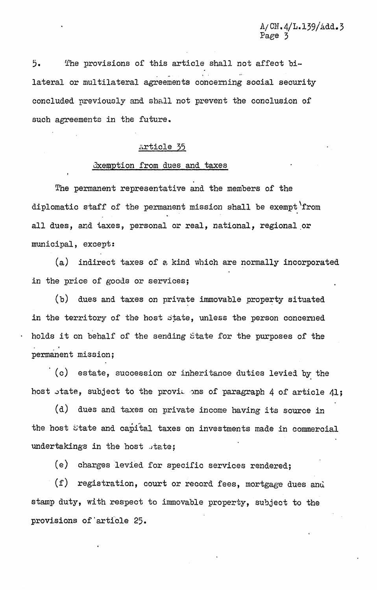5. The provisions of this article shall not affect bi- , lateral or multilateral agreements concerning social security concluded previously and shall not prevent the conclusion of such agreements in the future.

### Article 35

#### Exemption from dues and taxes

The permanent representative and the members of the diplomatio staff of the permanent mission shall be exempt'from all dues, and taxes, personal or real, national, regional or municipal, except:

(a) indirect taxes of a kind whioh are normally incorporated *in* the price of goods or services;

 $(b)$  dues and taxes on private immovable property situated in the territory of the host  $s$ tate, unless the person concerned . holds it on behalf of the sending state for the purposes of the permanent mission;

. (c) estate, sucoession or inheritance duties levied b~ the host state, subject to the provil ons of paragraph 4 of article 41;

(d) dues and taxes on private income having its source in the host State and capital taxes on investments made in commercial undertakings in the host state;

(e) charges *levied* for *specifio* services rendered;

 $(f)$  registration, court or record fees, mortgage dues and stamp duty, with respect to immovable property, subjeot to the provisions of article 25.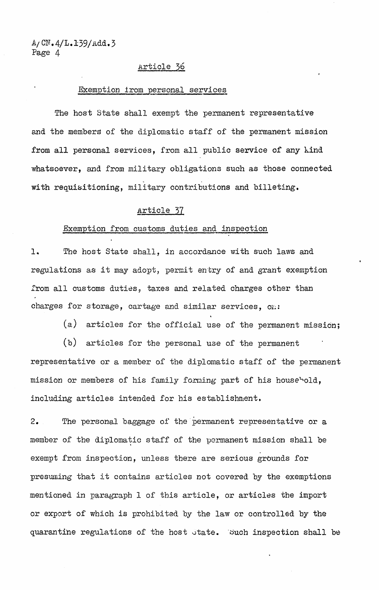$A/CN.4/L.139/Add.3$ Page 4

#### Article 36

#### Exemption from personal services

The host State shall exempt the permanent representative and the members of the diplomatic staff of the permanent mission from all personal services, from all public service of any kind whatsoever, and from military obligations such as those connected , with requisitioning, military contributions and billeting.

### Article 37

#### Exemption from customs duties and inspeotion

1. The host State shall, in accordance with such laws and regulations as it may adopt, permit entry of and grant exemption from all customs duties, taxes and related charges other than charges for storage, cartage and similar services, on:

(a) articles for the official use of the permanent mission;

(b) articles for the personal use of the permanent representative or a member of the diplomatic staff of the permanent mission or members of his family forming part of his household, including articles intended for bis establishment.

2. The personal baggage of the 'permanent representative or a member of the diplomatic staff of the permanent mission shall be exempt from inspection, unless there are serious grbunds for presuming that it contains articles not covered by the exemptions mentioned in paragraph 1 of this article, or articles the import or export of which is prohibited by the law or controlled by the quarantine regulations of the host state. Such inspection shall be